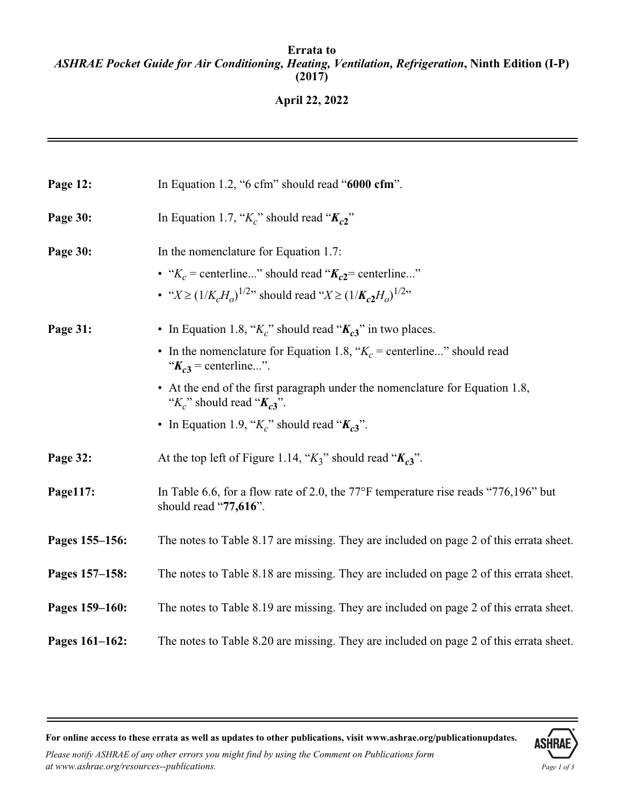## **Errata to** *ASHRAE Pocket Guide for Air Conditioning, Heating, Ventilation, Refrigeration***, Ninth Edition (I-P) (2017)**

**April 22, 2022**

| Page 12:       | In Equation 1.2, "6 cfm" should read "6000 cfm".                                                                                                                                  |
|----------------|-----------------------------------------------------------------------------------------------------------------------------------------------------------------------------------|
| Page 30:       | In Equation 1.7, " $K_c$ " should read " $K_c$ 2"                                                                                                                                 |
| Page 30:       | In the nomenclature for Equation 1.7:<br>• " $K_c$ = centerline" should read " $K_{c2}$ = centerline"<br>• " $X \ge (1/K_cH_o)^{1/2}$ " should read " $X \ge (1/K_c2H_o)^{1/2}$ " |
| Page 31:       | • In Equation 1.8, " $K_c$ " should read " $K_{c3}$ " in two places.<br>• In the nomenclature for Equation 1.8, " $K_c$ = centerline" should read<br>" $K_{c3}$ = centerline".    |
|                | • At the end of the first paragraph under the nomenclature for Equation 1.8,<br>" $K_c$ " should read " $K_{c3}$ ".<br>• In Equation 1.9, " $K_c$ " should read " $K_{c3}$ ".     |
| Page 32:       | At the top left of Figure 1.14, " $K_3$ " should read " $K_{c3}$ ".                                                                                                               |
| Page117:       | In Table 6.6, for a flow rate of 2.0, the 77 $\degree$ F temperature rise reads "776,196" but<br>should read "77,616".                                                            |
| Pages 155-156: | The notes to Table 8.17 are missing. They are included on page 2 of this errata sheet.                                                                                            |
| Pages 157-158: | The notes to Table 8.18 are missing. They are included on page 2 of this errata sheet.                                                                                            |
| Pages 159-160: | The notes to Table 8.19 are missing. They are included on page 2 of this errata sheet.                                                                                            |
| Pages 161-162: | The notes to Table 8.20 are missing. They are included on page 2 of this errata sheet.                                                                                            |

**For online access to these errata as well as updates to other publications, visit www.ashrae.org/publicationupdates.**

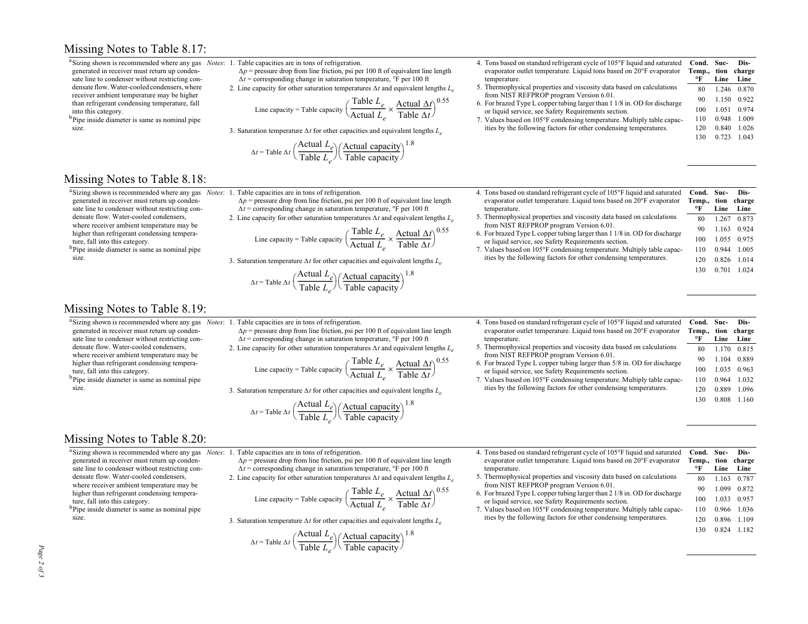## Missing Notes to Table 8.17:

<sup>a</sup>Sizing shown is recommended where any gas generated in receiver must return up condensate line to condenser without restricting condensate flow. Water-cooled condensers, where receiver ambient temperature may be higher than refrigerant condensing temperature, fall into this category.

<sup>b</sup>Pipe inside diameter is same as nominal pipe size.

Missing Notes to Table 8.18:

generated in receiver must return up condensate line to condenser without restricting condensate flow. Water-cooled condensers, where receiver ambient temperature may be higher than refrigerant condensing tempera-

<sup>b</sup>Pipe inside diameter is same as nominal pipe

ture, fall into this category.

size.

## *Notes*: 1. Table capacities are in tons of refrigeration.

 $\Delta p$  = pressure drop from line friction, psi per 100 ft of equivalent line length  $\Delta t$  = corresponding change in saturation temperature,  $\degree$ F per 100 ft

2. Line capacity for other saturation temperatures  $\Delta t$  and equivalent lengths  $L_e$ 

Line capacity = Table capacity 
$$
\left(\frac{\text{Table } L_e}{\text{Actual } L_e} \times \frac{\text{Actual } \Delta t}{\text{Table } \Delta t}\right)^{0.55}
$$

3. Saturation temperature  $\Delta t$  for other capacities and equivalent lengths  $L_e$ 

$$
\Delta t = \text{Table } \Delta t \left( \frac{\text{Actual } L_e}{\text{Table } L_e} \right) \left( \frac{\text{Actual capacity}}{\text{Table capacity}} \right)^{1.8}
$$

4. Tons based on standard refrigerant cycle of 105°F liquid and saturated evaporator outlet temperature. Liquid tons based on 20°F evaporator temperature. 5. Thermophysical properties and viscosity data based on calculations from NIST REFPROP program Version 6.01. 6. For brazed Type L copper tubing larger than 1 1/8 in. OD for discharge or liquid service, see Safety Requirements section. 7. Values based on 105°F condensing temperature. Multiply table capacities by the following factors for other condensing temperatures. **Cond. Temp., °FSuctioncharge Line Line Dis-**80 1.246 0.870 90 1.150 0.922100 1.051 0.974110120 1300.9480.840 0.723 1.043 1.0091.026

| 4. Tons based on standard refrigerant cycle of 105°F liquid and saturated<br>evaporator outlet temperature. Liquid tons based on 20°F evaporator<br>temperature. | Cond.<br>Temp.,<br>°F | Suc-<br>tion<br>Line | Dis-<br>charge<br>Line |
|------------------------------------------------------------------------------------------------------------------------------------------------------------------|-----------------------|----------------------|------------------------|
| 5. Thermophysical properties and viscosity data based on calculations                                                                                            | 80                    | 1.267                | 0.873                  |
| from NIST REFPROP program Version 6.01.<br>6. For brazed Type L copper tubing larger than 1 1/8 in. OD for discharge                                             | 90                    | 1.163                | 0.924                  |
| or liquid service, see Safety Requirements section.                                                                                                              | 100                   | 1.055                | 0.975                  |
| 7. Values based on 105°F condensing temperature. Multiply table capac-                                                                                           | 110                   | 0.944                | 1.005                  |
| ities by the following factors for other condensing temperatures.                                                                                                | 120                   | 0.826                | 1014                   |
|                                                                                                                                                                  | 130                   | 0.701                | 1 0 2 4                |

| Missing Notes to Table 8.19:                           |  |
|--------------------------------------------------------|--|
| <sup>a</sup> Sizing shown is recommended where any gas |  |

generated in receiver must return up condensate line to condenser without restricting condensate flow. Water-cooled condensers, where receiver ambient temperature may be higher than refrigerant condensing temperature, fall into this category.

<sup>b</sup>Pipe inside diameter is same as nominal pipe size.

<sup>a</sup>Sizing shown is recommended where any gas *Notes*: 1. Table capacities are in tons of refrigeration.  $\Delta p$  = pressure drop from line friction, psi per 100 ft of equivalent line length

 $\Delta t$  = corresponding change in saturation temperature,  $\degree$ F per 100 ft

2. Line capacity for other saturation temperatures 
$$
\Delta t
$$
 and equivalent lengths  $L_e$ 

Line capacity = Table capacity 
$$
\left(\frac{\text{Table } L_e}{\text{Actual } L_e} \times \frac{\text{Actual } \Delta t}{\text{Table } \Delta t}\right)^{0.55}
$$

3. Saturation temperature  $\Delta t$  for other capacities and equivalent lengths  $L_e$ 

$$
\Delta t = \text{Table } \Delta t \left( \frac{\text{Actual } L_e}{\text{Table } L_e} \right) \left( \frac{\text{Actual capacity}}{\text{Table capacity}} \right)^{1.8}
$$

*Notes*: 1. Table capacities are in tons of refrigeration.  $\Delta p$  = pressure drop from line friction, psi per 100 ft of equivalent line length  $\Delta t$  = corresponding change in saturation temperature,  $\degree$ F per 100 ft

2. Line capacity for other saturation temperatures  $\Delta t$  and equivalent lengths  $L_e$ 

Line capacity = Table capacity 
$$
\left(\frac{\text{Table } L_e}{\text{Actual } L_e} \times \frac{\text{Actual } \Delta t}{\text{Table } \Delta t}\right)^{0.55}
$$

3. Saturation temperature  $\Delta t$  for other capacities and equivalent lengths  $L_e$ 

$$
\Delta t = \text{Table } \Delta t \left( \frac{\text{Actual } L_e}{\text{Table } L_e} \right) \left( \frac{\text{Actual capacity}}{\text{Table capacity}} \right)^{1.8}
$$

Actual Actor

| 4. Tons based on standard refrigerant cycle of 105°F liquid and saturated                                                      | Cond. Suc- |       | Dis-   |
|--------------------------------------------------------------------------------------------------------------------------------|------------|-------|--------|
| evaporator outlet temperature. Liquid tons based on 20°F evaporator                                                            | Temp.,     | tion  | charge |
| temperature.                                                                                                                   | °F         | Line  | Line   |
| 5. Thermophysical properties and viscosity data based on calculations                                                          | 80         | 1.170 | 0.815  |
| from NIST REFPROP program Version 6.01.                                                                                        | 90         | 1.104 | 0.889  |
| 6. For brazed Type L copper tubing larger than 5/8 in. OD for discharge<br>or liquid service, see Safety Requirements section. | 100        | 1.035 | 0.963  |
| 7. Values based on 105°F condensing temperature. Multiply table capac-                                                         | 110        | 0.964 | 1.032  |
| ities by the following factors for other condensing temperatures.                                                              | 120        | 0.889 | 1.096  |
|                                                                                                                                | 130        | 0.808 | 1.160  |
|                                                                                                                                |            |       |        |

**Dis-**

| Missing Notes to Table 8.20: |  |  |  |
|------------------------------|--|--|--|
|------------------------------|--|--|--|

generated in receiver must return up condensate line to condenser without restricting condensate flow. Water-cooled condensers, where receiver ambient temperature may be higher than refrigerant condensing temperature, fall into this category. <sup>b</sup>Pipe inside diameter is same as nominal pipe

size.

<sup>a</sup>Sizing shown is recommended where any gas *Notes*: 1. Table capacities are in tons of refrigeration.

 $\Delta p$  = pressure drop from line friction, psi per 100 ft of equivalent line length  $\Delta t$  = corresponding change in saturation temperature,  $\degree$ F per 100 ft

2. Line capacity for other saturation temperatures  $\Delta t$  and equivalent lengths  $L_{\rho}$ 

Line capacity = Table capacity 
$$
\left(\frac{\text{Table } L_e}{\text{Actual } L_e} \times \frac{\text{Actual } \Delta t}{\text{Table } \Delta t}\right)^{0.55}
$$

3. Saturation temperature  $\Delta t$  for other capacities and equivalent lengths  $L_e$ 

$$
\Delta t = \text{Table } \Delta t \left( \frac{\text{Actual } L_e}{\text{Table } L_e} \right) \left( \frac{\text{Actual capacity}}{\text{Table capacity}} \right)^{1.8}
$$

| 4. Tons based on standard refrigerant cycle of 105°F liquid and saturated<br>evaporator outlet temperature. Liquid tons based on 20°F evaporator<br>temperature. | Cond. Suc-<br>Temp., tion<br>۰F | Line  | Dis-<br>charge<br>Line |
|------------------------------------------------------------------------------------------------------------------------------------------------------------------|---------------------------------|-------|------------------------|
| 5. Thermophysical properties and viscosity data based on calculations                                                                                            | 80                              | 1.163 | 0.787                  |
| from NIST REFPROP program Version 6.01.<br>6. For brazed Type L copper tubing larger than 2 1/8 in. OD for discharge                                             | 90                              | 1.099 | 0.872                  |
| or liquid service, see Safety Requirements section.                                                                                                              | 100                             | 1.033 | 0.957                  |
| 7. Values based on 105°F condensing temperature. Multiply table capac-                                                                                           | 110                             | 0.966 | 1.036                  |
| ities by the following factors for other condensing temperatures.                                                                                                | 120                             | 0.896 | 1.109                  |
|                                                                                                                                                                  | 130                             | 0.824 | 1.182                  |

| J<br>1<br>ó<br>٥<br>٥ |
|-----------------------|
| $\overline{ }$        |
| ë                     |
| t.<br>د               |